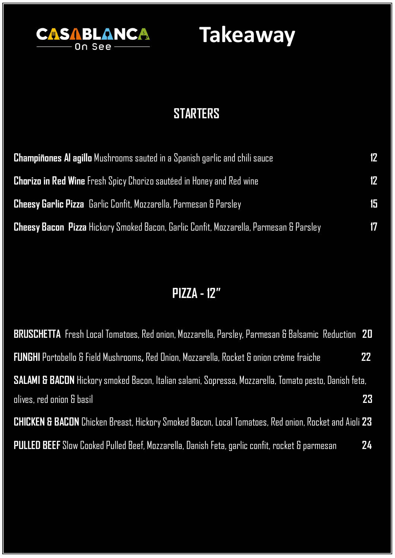

## **STARTERS**

| <b>Champiñones AI agillo</b> Mushrooms sauted in a Spanish garlic and chili sauce             | 12 |
|-----------------------------------------------------------------------------------------------|----|
| <b>Chorizo in Red Wine</b> Fresh Spicy Chorizo sautéed in Honey and Red wine                  | 12 |
| <b>Cheesy Garlic Pizza</b> Garlic Confit, Mozzarella, Parmesan & Parsley                      | 15 |
| <b>Cheesy Bacon Pizza</b> Hickory Smoked Bacon, Garlic Confit, Mozzarella, Parmesan & Parsley | 17 |

## **PIZZA - 12"**

| <b>BRUSCHETTA</b> Fresh Local Tomatoes, Red onion, Mozzarella, Parsley, Parmesan & Balsamic Reduction 20        |    |
|-----------------------------------------------------------------------------------------------------------------|----|
| <b>FUNGHI</b> Portobello & Field Mushrooms, Red Onion, Mozzarella, Rocket & onion crème fraiche                 | 22 |
| SALAMI & BACON Hickory smoked Bacon, Italian salami, Sopressa, Mozzarella, Tomato pesto, Danish feta,           |    |
| olives, red onion & basil                                                                                       | 23 |
| <b>CHICKEN &amp; BACON</b> Chicken Breast, Hickory Smoked Bacon, Local Tomatoes, Red onion, Rocket and Aioli 23 |    |
| <b>PULLED BEEF</b> Slow Cooked Pulled Beef, Mozzarella, Danish Feta, garlic confit, rocket & parmesan           | 24 |